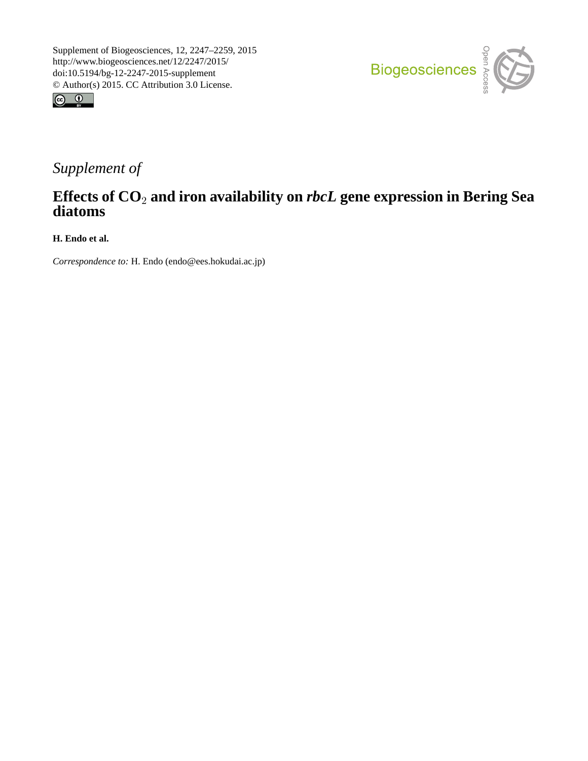



## *Supplement of*

## **Effects of CO**<sup>2</sup> **and iron availability on** *rbcL* **gene expression in Bering Sea diatoms**

**H. Endo et al.**

*Correspondence to:* H. Endo (endo@ees.hokudai.ac.jp)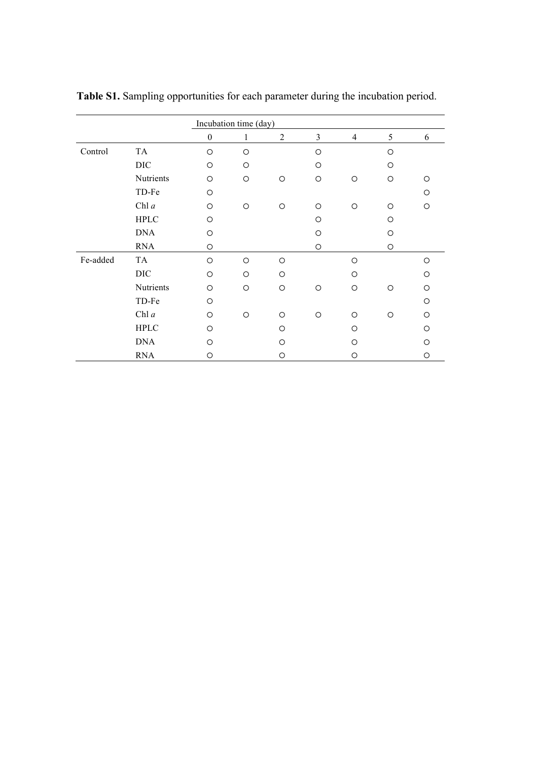|          |             | Incubation time (day) |              |                |         |         |         |         |  |  |
|----------|-------------|-----------------------|--------------|----------------|---------|---------|---------|---------|--|--|
|          |             | $\boldsymbol{0}$      | $\mathbf{1}$ | $\overline{2}$ | 3       | 4       | 5       | 6       |  |  |
| Control  | TA          | $\circ$               | $\circ$      |                | $\circ$ |         | O       |         |  |  |
|          | DIC         | $\circ$               | $\circ$      |                | $\circ$ |         | $\circ$ |         |  |  |
|          | Nutrients   | $\circ$               | $\circ$      | O              | O       | O       | $\circ$ | $\circ$ |  |  |
|          | TD-Fe       | $\circ$               |              |                |         |         |         | $\circ$ |  |  |
|          | Chl $a$     | $\circ$               | $\bigcirc$   | $\circ$        | $\circ$ | $\circ$ | $\circ$ | $\circ$ |  |  |
|          | <b>HPLC</b> | $\circ$               |              |                | $\circ$ |         | $\circ$ |         |  |  |
|          | <b>DNA</b>  | $\circ$               |              |                | $\circ$ |         | $\circ$ |         |  |  |
|          | <b>RNA</b>  | $\circ$               |              |                | O       |         | O       |         |  |  |
| Fe-added | TA          | $\circ$               | $\circ$      | $\circ$        |         | $\circ$ |         | $\circ$ |  |  |
|          | <b>DIC</b>  | $\circ$               | $\circ$      | $\circ$        |         | O       |         | O       |  |  |
|          | Nutrients   | $\circ$               | $\circ$      | $\circ$        | $\circ$ | $\circ$ | $\circ$ | $\circ$ |  |  |
|          | TD-Fe       | $\circ$               |              |                |         |         |         | $\circ$ |  |  |
|          | Chl $a$     | $\circ$               | $\circ$      | $\circ$        | $\circ$ | $\circ$ | $\circ$ | $\circ$ |  |  |
|          | <b>HPLC</b> | $\bigcirc$            |              | $\circ$        |         | O       |         | O       |  |  |
|          | <b>DNA</b>  | ◯                     |              | $\circ$        |         | O       |         | O       |  |  |
|          | <b>RNA</b>  | O                     |              | O              |         | $\circ$ |         | $\circ$ |  |  |

**Table S1.** Sampling opportunities for each parameter during the incubation period.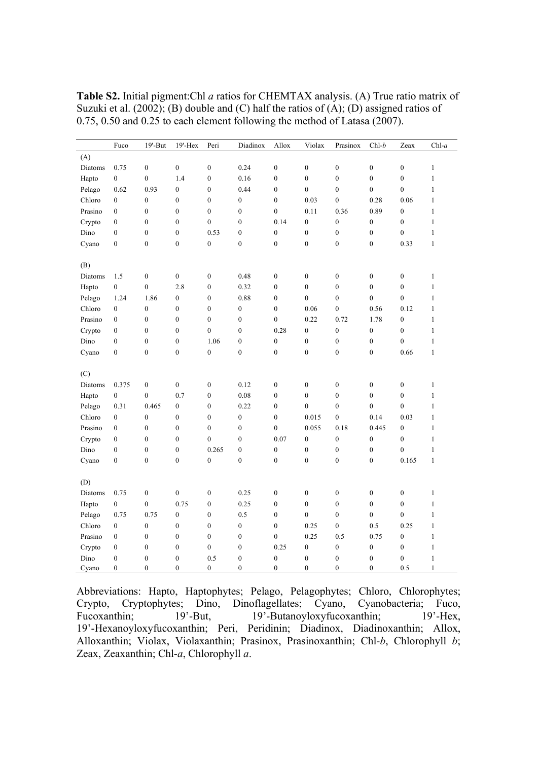|         | Fuco             | $19'$ -But       | 19'-Hex          | Peri             | Diadinox         | Allox            | Violax           | Prasinox         | $Chl-b$          | Zeax             | $Chl-a$      |
|---------|------------------|------------------|------------------|------------------|------------------|------------------|------------------|------------------|------------------|------------------|--------------|
| (A)     |                  |                  |                  |                  |                  |                  |                  |                  |                  |                  |              |
| Diatoms | 0.75             | $\boldsymbol{0}$ | $\boldsymbol{0}$ | $\boldsymbol{0}$ | 0.24             | $\boldsymbol{0}$ | $\overline{0}$   | $\overline{0}$   | $\boldsymbol{0}$ | $\boldsymbol{0}$ | $\mathbf{1}$ |
| Hapto   | $\mathbf{0}$     | $\overline{0}$   | 1.4              | $\mathbf{0}$     | 0.16             | $\overline{0}$   | $\overline{0}$   | $\mathbf{0}$     | $\mathbf{0}$     | $\mathbf{0}$     | $\mathbf{1}$ |
| Pelago  | 0.62             | 0.93             | $\boldsymbol{0}$ | $\boldsymbol{0}$ | 0.44             | $\boldsymbol{0}$ | $\overline{0}$   | $\overline{0}$   | $\boldsymbol{0}$ | $\boldsymbol{0}$ | $\mathbf{1}$ |
| Chloro  | $\boldsymbol{0}$ | $\boldsymbol{0}$ | $\boldsymbol{0}$ | $\boldsymbol{0}$ | $\boldsymbol{0}$ | $\boldsymbol{0}$ | 0.03             | $\boldsymbol{0}$ | 0.28             | 0.06             | $\mathbf{1}$ |
| Prasino | $\boldsymbol{0}$ | $\boldsymbol{0}$ | $\boldsymbol{0}$ | $\boldsymbol{0}$ | $\boldsymbol{0}$ | $\boldsymbol{0}$ | 0.11             | 0.36             | 0.89             | $\boldsymbol{0}$ | $\mathbf{1}$ |
| Crypto  | $\mathbf{0}$     | $\boldsymbol{0}$ | $\boldsymbol{0}$ | $\boldsymbol{0}$ | $\boldsymbol{0}$ | 0.14             | $\boldsymbol{0}$ | $\boldsymbol{0}$ | $\boldsymbol{0}$ | $\boldsymbol{0}$ | $\mathbf{1}$ |
| Dino    | $\mathbf{0}$     | $\overline{0}$   | $\mathbf{0}$     | 0.53             | $\boldsymbol{0}$ | $\overline{0}$   | $\mathbf{0}$     | $\mathbf{0}$     | $\boldsymbol{0}$ | $\overline{0}$   | $\mathbf{1}$ |
| Cyano   | $\mathbf{0}$     | $\boldsymbol{0}$ | $\boldsymbol{0}$ | $\boldsymbol{0}$ | $\boldsymbol{0}$ | $\boldsymbol{0}$ | $\mathbf{0}$     | $\mathbf{0}$     | $\boldsymbol{0}$ | 0.33             | $\mathbf{1}$ |
|         |                  |                  |                  |                  |                  |                  |                  |                  |                  |                  |              |
| (B)     |                  |                  |                  |                  |                  |                  |                  |                  |                  |                  |              |
| Diatoms | 1.5              | $\boldsymbol{0}$ | $\boldsymbol{0}$ | $\boldsymbol{0}$ | 0.48             | $\boldsymbol{0}$ | $\boldsymbol{0}$ | $\boldsymbol{0}$ | $\boldsymbol{0}$ | $\boldsymbol{0}$ | $\mathbf{1}$ |
| Hapto   | $\boldsymbol{0}$ | $\boldsymbol{0}$ | 2.8              | $\boldsymbol{0}$ | 0.32             | $\boldsymbol{0}$ | $\boldsymbol{0}$ | $\boldsymbol{0}$ | $\boldsymbol{0}$ | $\boldsymbol{0}$ | $\mathbf{1}$ |
| Pelago  | 1.24             | 1.86             | $\boldsymbol{0}$ | $\boldsymbol{0}$ | 0.88             | $\overline{0}$   | $\overline{0}$   | $\overline{0}$   | $\mathbf{0}$     | $\boldsymbol{0}$ | $\mathbf{1}$ |
| Chloro  | $\mathbf{0}$     | $\boldsymbol{0}$ | $\boldsymbol{0}$ | $\boldsymbol{0}$ | $\boldsymbol{0}$ | $\boldsymbol{0}$ | 0.06             | $\overline{0}$   | 0.56             | 0.12             | $\mathbf{1}$ |
| Prasino | $\mathbf{0}$     | $\overline{0}$   | $\boldsymbol{0}$ | $\boldsymbol{0}$ | $\boldsymbol{0}$ | $\overline{0}$   | 0.22             | 0.72             | 1.78             | $\boldsymbol{0}$ | $\mathbf{1}$ |
| Crypto  | $\boldsymbol{0}$ | $\boldsymbol{0}$ | $\boldsymbol{0}$ | $\boldsymbol{0}$ | $\boldsymbol{0}$ | 0.28             | $\boldsymbol{0}$ | $\boldsymbol{0}$ | $\boldsymbol{0}$ | 0                | $\mathbf{1}$ |
| Dino    | $\boldsymbol{0}$ | $\boldsymbol{0}$ | $\boldsymbol{0}$ | 1.06             | $\boldsymbol{0}$ | $\boldsymbol{0}$ | $\boldsymbol{0}$ | $\boldsymbol{0}$ | $\boldsymbol{0}$ | $\boldsymbol{0}$ | $\mathbf{1}$ |
| Cyano   | $\boldsymbol{0}$ | $\boldsymbol{0}$ | $\boldsymbol{0}$ | $\boldsymbol{0}$ | $\boldsymbol{0}$ | $\boldsymbol{0}$ | $\boldsymbol{0}$ | $\boldsymbol{0}$ | $\boldsymbol{0}$ | 0.66             | $\mathbf{1}$ |
|         |                  |                  |                  |                  |                  |                  |                  |                  |                  |                  |              |
| (C)     |                  |                  |                  |                  |                  |                  |                  |                  |                  |                  |              |
| Diatoms | 0.375            | $\boldsymbol{0}$ | $\boldsymbol{0}$ | $\boldsymbol{0}$ | 0.12             | $\boldsymbol{0}$ | $\boldsymbol{0}$ | $\boldsymbol{0}$ | $\boldsymbol{0}$ | $\boldsymbol{0}$ | 1            |
| Hapto   | $\boldsymbol{0}$ | $\boldsymbol{0}$ | 0.7              | $\boldsymbol{0}$ | 0.08             | $\boldsymbol{0}$ | $\boldsymbol{0}$ | $\boldsymbol{0}$ | $\boldsymbol{0}$ | $\boldsymbol{0}$ | $\mathbf{1}$ |
| Pelago  | 0.31             | 0.465            | $\boldsymbol{0}$ | $\boldsymbol{0}$ | 0.22             | $\boldsymbol{0}$ | $\overline{0}$   | $\boldsymbol{0}$ | $\boldsymbol{0}$ | $\boldsymbol{0}$ | $\mathbf{1}$ |
| Chloro  | $\boldsymbol{0}$ | $\boldsymbol{0}$ | $\boldsymbol{0}$ | $\boldsymbol{0}$ | $\boldsymbol{0}$ | $\boldsymbol{0}$ | 0.015            | $\boldsymbol{0}$ | 0.14             | 0.03             | $\mathbf{1}$ |
| Prasino | $\mathbf{0}$     | $\overline{0}$   | $\mathbf{0}$     | $\mathbf{0}$     | $\boldsymbol{0}$ | $\overline{0}$   | 0.055            | 0.18             | 0.445            | $\boldsymbol{0}$ | $\mathbf{1}$ |
| Crypto  | $\mathbf{0}$     | $\overline{0}$   | $\boldsymbol{0}$ | $\overline{0}$   | $\boldsymbol{0}$ | 0.07             | $\boldsymbol{0}$ | $\mathbf{0}$     | $\boldsymbol{0}$ | $\boldsymbol{0}$ | $\mathbf{1}$ |
| Dino    | $\mathbf{0}$     | $\boldsymbol{0}$ | $\boldsymbol{0}$ | 0.265            | $\boldsymbol{0}$ | $\boldsymbol{0}$ | $\boldsymbol{0}$ | $\boldsymbol{0}$ | $\boldsymbol{0}$ | $\boldsymbol{0}$ | $\mathbf{1}$ |
| Cyano   | $\mathbf{0}$     | $\overline{0}$   | $\overline{0}$   | $\boldsymbol{0}$ | $\boldsymbol{0}$ | $\overline{0}$   | $\mathbf{0}$     | $\mathbf{0}$     | $\boldsymbol{0}$ | 0.165            | $\mathbf{1}$ |
|         |                  |                  |                  |                  |                  |                  |                  |                  |                  |                  |              |
| (D)     |                  |                  |                  |                  |                  |                  |                  |                  |                  |                  |              |
| Diatoms | 0.75             | $\boldsymbol{0}$ | $\boldsymbol{0}$ | $\boldsymbol{0}$ | 0.25             | $\boldsymbol{0}$ | $\boldsymbol{0}$ | $\boldsymbol{0}$ | $\boldsymbol{0}$ | $\boldsymbol{0}$ | $\mathbf{1}$ |
| Hapto   | $\mathbf{0}$     | $\overline{0}$   | 0.75             | $\boldsymbol{0}$ | 0.25             | $\boldsymbol{0}$ | $\overline{0}$   | $\overline{0}$   | $\boldsymbol{0}$ | $\boldsymbol{0}$ | $\mathbf{1}$ |
| Pelago  | 0.75             | 0.75             | $\boldsymbol{0}$ | $\boldsymbol{0}$ | 0.5              | $\boldsymbol{0}$ | $\overline{0}$   | $\overline{0}$   | $\mathbf{0}$     | $\overline{0}$   | $\mathbf{1}$ |
| Chloro  | $\boldsymbol{0}$ | $\boldsymbol{0}$ | $\boldsymbol{0}$ | $\boldsymbol{0}$ | $\boldsymbol{0}$ | $\boldsymbol{0}$ | 0.25             | $\overline{0}$   | 0.5              | 0.25             | $\mathbf{1}$ |
| Prasino | $\boldsymbol{0}$ | $\boldsymbol{0}$ | $\boldsymbol{0}$ | $\boldsymbol{0}$ | $\boldsymbol{0}$ | $\boldsymbol{0}$ | 0.25             | 0.5              | 0.75             | 0                | $\mathbf{1}$ |
| Crypto  | $\boldsymbol{0}$ | $\boldsymbol{0}$ | $\boldsymbol{0}$ | $\boldsymbol{0}$ | $\boldsymbol{0}$ | 0.25             | $\boldsymbol{0}$ | $\boldsymbol{0}$ | $\boldsymbol{0}$ | 0                | $\mathbf{1}$ |
| Dino    | $\mathbf{0}$     | $\mathbf{0}$     | $\mathbf{0}$     | 0.5              | $\boldsymbol{0}$ | $\boldsymbol{0}$ | $\mathbf{0}$     | $\mathbf{0}$     | $\boldsymbol{0}$ | 0                | $\mathbf{1}$ |
| Cyano   | $\mathbf{0}$     | $\overline{0}$   | $\overline{0}$   | $\boldsymbol{0}$ | $\overline{0}$   | $\overline{0}$   | $\overline{0}$   | $\overline{0}$   | $\mathbf{0}$     | 0.5              | $\mathbf{1}$ |

**Table S2.** Initial pigment:Chl *a* ratios for CHEMTAX analysis. (A) True ratio matrix of Suzuki et al. (2002); (B) double and (C) half the ratios of  $(A)$ ; (D) assigned ratios of 0.75, 0.50 and 0.25 to each element following the method of Latasa (2007).

Abbreviations: Hapto, Haptophytes; Pelago, Pelagophytes; Chloro, Chlorophytes; Crypto, Cryptophytes; Dino, Dinoflagellates; Cyano, Cyanobacteria; Fuco, Fucoxanthin; 19'-But, 19'-Butanoyloxyfucoxanthin; 19'-Hex, 19'-Hexanoyloxyfucoxanthin; Peri, Peridinin; Diadinox, Diadinoxanthin; Allox, Alloxanthin; Violax, Violaxanthin; Prasinox, Prasinoxanthin; Chl-*b*, Chlorophyll *b*; Zeax, Zeaxanthin; Chl-*a*, Chlorophyll *a*.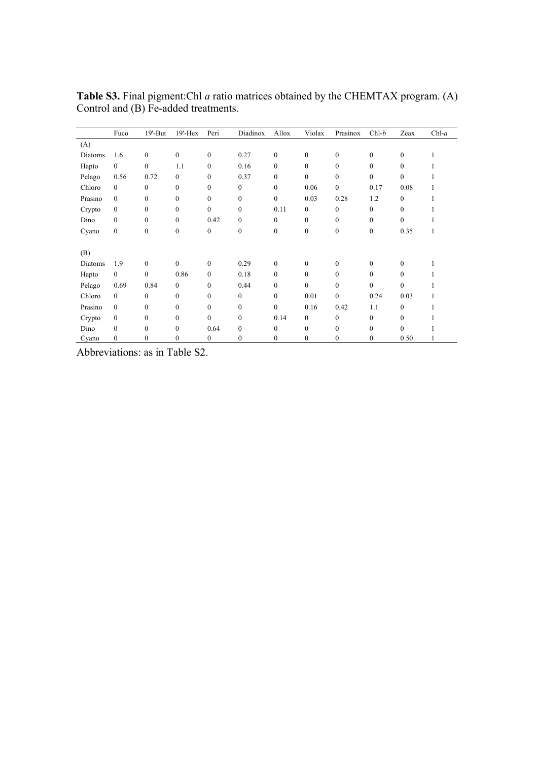|         | Fuco         | $19'$ -But       | $19'$ -Hex   | Peri             | Diadinox         | Allox            | Violax           | Prasinox         | $Chl-b$          | Zeax             | $Chl-a$ |
|---------|--------------|------------------|--------------|------------------|------------------|------------------|------------------|------------------|------------------|------------------|---------|
| (A)     |              |                  |              |                  |                  |                  |                  |                  |                  |                  |         |
| Diatoms | 1.6          | $\mathbf{0}$     | $\mathbf{0}$ | $\boldsymbol{0}$ | 0.27             | $\overline{0}$   | $\overline{0}$   | $\mathbf{0}$     | $\boldsymbol{0}$ | $\mathbf{0}$     |         |
| Hapto   | $\mathbf{0}$ | $\mathbf{0}$     | 1.1          | $\mathbf{0}$     | 0.16             | $\theta$         | $\overline{0}$   | $\theta$         | $\mathbf{0}$     | $\overline{0}$   |         |
| Pelago  | 0.56         | 0.72             | $\mathbf{0}$ | $\mathbf{0}$     | 0.37             | $\theta$         | $\Omega$         | $\theta$         | $\mathbf{0}$     | $\theta$         |         |
| Chloro  | $\Omega$     | $\Omega$         | $\theta$     | $\mathbf{0}$     | 0                | $\theta$         | 0.06             | $\theta$         | 0.17             | 0.08             |         |
| Prasino | $\mathbf{0}$ | $\mathbf{0}$     | $\mathbf{0}$ | $\mathbf{0}$     | 0                | $\overline{0}$   | 0.03             | 0.28             | 1.2              | 0                |         |
| Crypto  | $\mathbf{0}$ | $\mathbf{0}$     | $\mathbf{0}$ | $\mathbf{0}$     | 0                | 0.11             | $\overline{0}$   | $\overline{0}$   | $\mathbf{0}$     | $\mathbf{0}$     |         |
| Dino    | $\mathbf{0}$ | $\mathbf{0}$     | $\mathbf{0}$ | 0.42             | $\boldsymbol{0}$ | $\mathbf{0}$     | $\overline{0}$   | $\overline{0}$   | $\mathbf{0}$     | $\mathbf{0}$     |         |
| Cyano   | $\mathbf{0}$ | $\boldsymbol{0}$ | $\mathbf{0}$ | $\boldsymbol{0}$ | $\boldsymbol{0}$ | $\boldsymbol{0}$ | $\boldsymbol{0}$ | $\boldsymbol{0}$ | $\boldsymbol{0}$ | 0.35             | 1       |
|         |              |                  |              |                  |                  |                  |                  |                  |                  |                  |         |
| (B)     |              |                  |              |                  |                  |                  |                  |                  |                  |                  |         |
| Diatoms | 1.9          | $\theta$         | $\theta$     | $\mathbf{0}$     | 0.29             | $\overline{0}$   | $\overline{0}$   | $\overline{0}$   | $\mathbf{0}$     | $\overline{0}$   |         |
| Hapto   | $\mathbf{0}$ | $\theta$         | 0.86         | $\mathbf{0}$     | 0.18             | $\theta$         | $\theta$         | $\theta$         | $\mathbf{0}$     | $\overline{0}$   |         |
| Pelago  | 0.69         | 0.84             | $\mathbf{0}$ | $\mathbf{0}$     | 0.44             | $\theta$         | $\theta$         | $\theta$         | $\mathbf{0}$     | $\theta$         |         |
| Chloro  | $\Omega$     | $\Omega$         | $\theta$     | $\mathbf{0}$     | $\boldsymbol{0}$ | $\theta$         | 0.01             | $\overline{0}$   | 0.24             | 0.03             |         |
| Prasino | $\mathbf{0}$ | $\Omega$         | $\theta$     | $\mathbf{0}$     | $\overline{0}$   | $\theta$         | 0.16             | 0.42             | 1.1              | 0                |         |
| Crypto  | $\mathbf{0}$ | $\mathbf{0}$     | $\mathbf{0}$ | $\mathbf{0}$     | $\overline{0}$   | 0.14             | $\overline{0}$   | $\overline{0}$   | $\boldsymbol{0}$ | $\boldsymbol{0}$ |         |
| Dino    | $\theta$     | $\mathbf{0}$     | $\mathbf{0}$ | 0.64             | 0                | 0                | $\overline{0}$   | $\boldsymbol{0}$ | $\mathbf{0}$     | $\overline{0}$   |         |
| Cyano   | $\mathbf{0}$ | $\theta$         | $\Omega$     | $\mathbf{0}$     | 0                | 0                | $\theta$         | 0                | $\mathbf{0}$     | 0.50             |         |

**Table S3.** Final pigment:Chl *a* ratio matrices obtained by the CHEMTAX program. (A) Control and (B) Fe-added treatments.

Abbreviations: as in Table S2.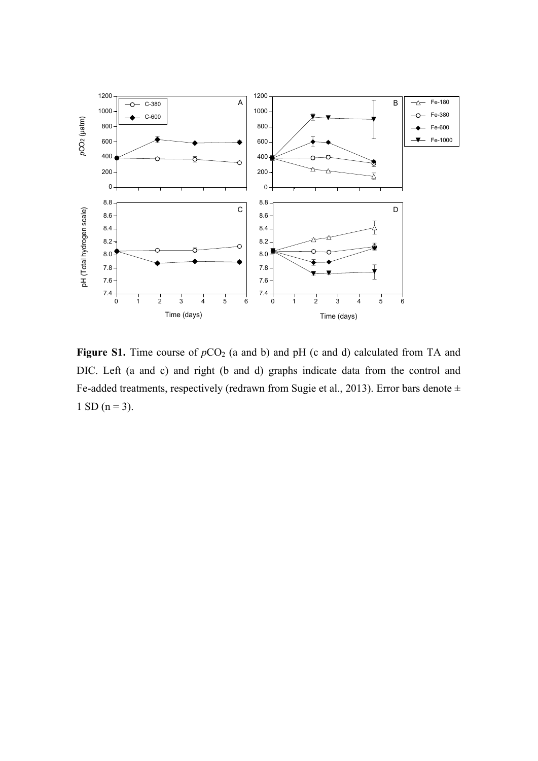

**Figure S1.** Time course of  $pCO_2$  (a and b) and pH (c and d) calculated from TA and DIC. Left (a and c) and right (b and d) graphs indicate data from the control and Fe-added treatments, respectively (redrawn from Sugie et al., 2013). Error bars denote  $\pm$ 1 SD ( $n = 3$ ).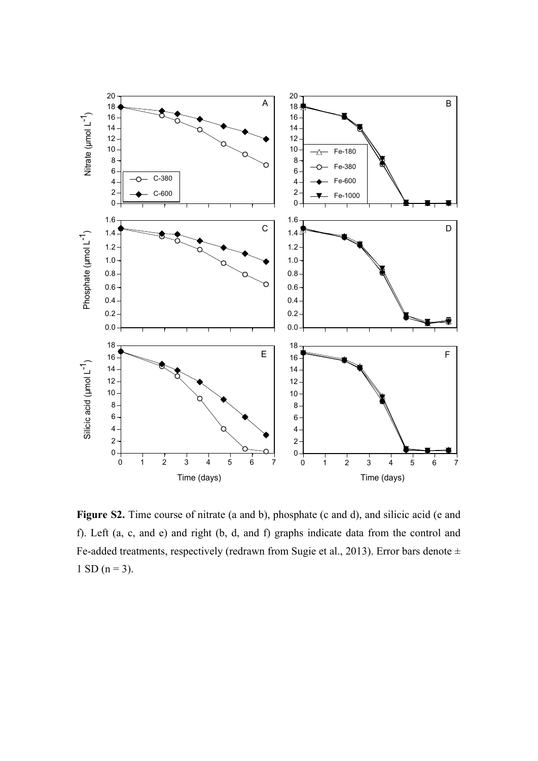

**Figure S2.** Time course of nitrate (a and b), phosphate (c and d), and silicic acid (e and f). Left (a, c, and e) and right (b, d, and f) graphs indicate data from the control and Fe-added treatments, respectively (redrawn from Sugie et al., 2013). Error bars denote ± 1 SD ( $n = 3$ ).